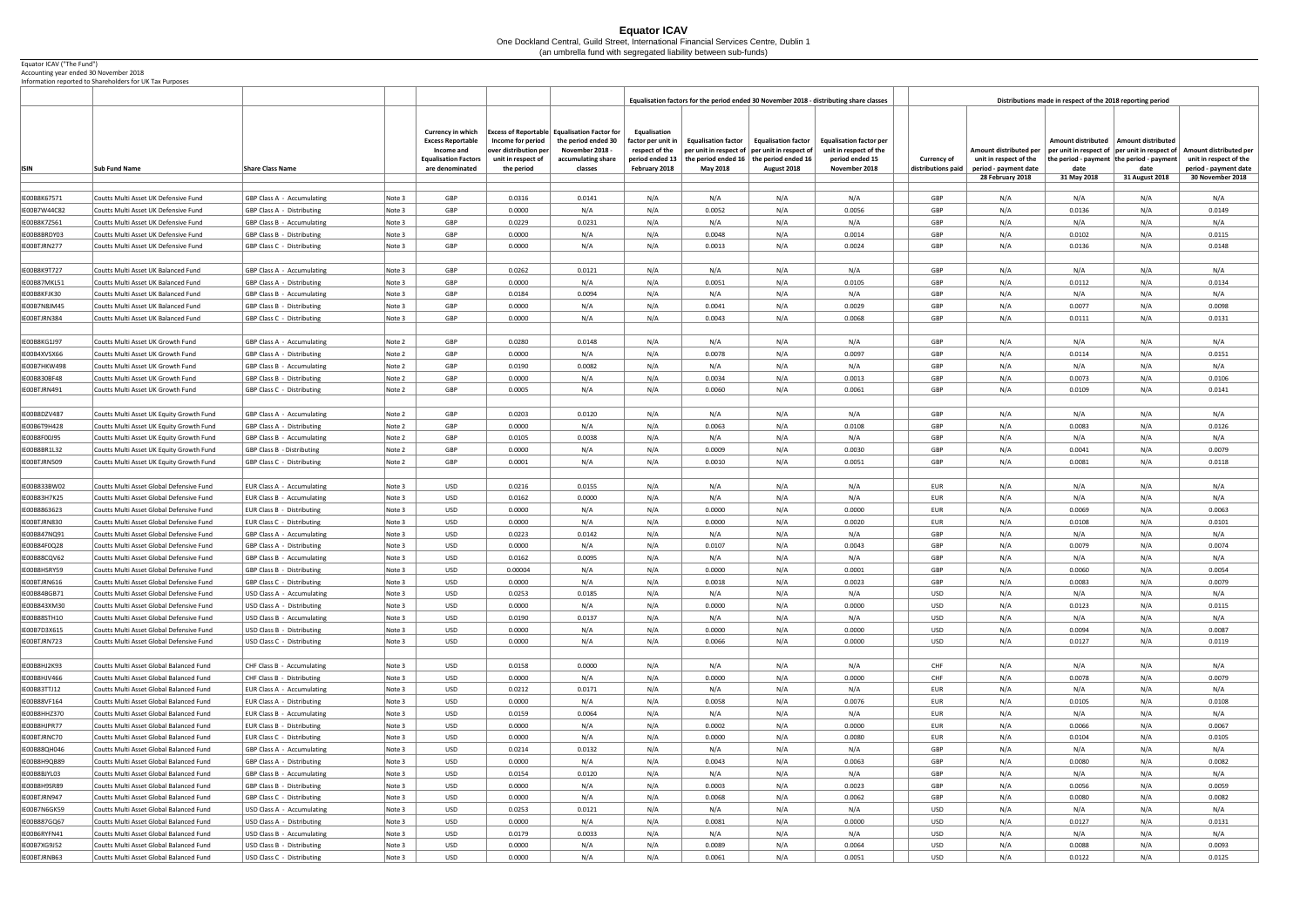## **Equator ICAV** One Dockland Central, Guild Street, International Financial Services Centre, Dublin 1 (an umbrella fund with segregated liability between sub-funds)

## Equator ICAV ("The Fund")

Accounting year ended 30 November 2018 Information reported to Shareholders for UK Tax Purposes

|                              |                                                                                      |                                                                        |                  |                                                                                                                      |                                                                                |                                                                                                                                |                                                                                              |                                                                                                                                  |                                                                  | Equalisation factors for the period ended 30 November 2018 - distributing share classes      | Distributions made in respect of the 2018 reporting period |                                                                           |                                   |                                                                                                                              |                                                                           |
|------------------------------|--------------------------------------------------------------------------------------|------------------------------------------------------------------------|------------------|----------------------------------------------------------------------------------------------------------------------|--------------------------------------------------------------------------------|--------------------------------------------------------------------------------------------------------------------------------|----------------------------------------------------------------------------------------------|----------------------------------------------------------------------------------------------------------------------------------|------------------------------------------------------------------|----------------------------------------------------------------------------------------------|------------------------------------------------------------|---------------------------------------------------------------------------|-----------------------------------|------------------------------------------------------------------------------------------------------------------------------|---------------------------------------------------------------------------|
| <b>ISIN</b>                  | <b>Sub Fund Name</b>                                                                 | <b>Share Class Name</b>                                                |                  | <b>Currency in which</b><br><b>Excess Reportable</b><br>Income and<br><b>Equalisation Factors</b><br>are denominated | Income for period<br>over distribution per<br>unit in respect of<br>the period | <b>Excess of Reportable Equalisation Factor for</b><br>the period ended 30<br>November 2018 -<br>accumulating share<br>classes | Equalisation<br>factor per unit in $ $<br>respect of the<br>period ended 13<br>February 2018 | <b>Equalisation factor</b><br>$\mid$ per unit in respect of $\mid$ per unit in respect of<br>the period ended 16 $ $<br>May 2018 | <b>Equalisation factor</b><br>the period ended 16<br>August 2018 | <b>Equalisation factor per</b><br>unit in respect of the<br>period ended 15<br>November 2018 | <b>Currency of</b><br>distributions paid                   | Amount distributed per<br>unit in respect of the<br>period - payment date | <b>Amount distributed</b><br>date | Amount distributed<br>per unit in respect of $ $ per unit in respect of<br>the period - payment the period - payment<br>date | Amount distributed per<br>unit in respect of the<br>period - payment date |
|                              |                                                                                      |                                                                        |                  |                                                                                                                      |                                                                                |                                                                                                                                |                                                                                              |                                                                                                                                  |                                                                  |                                                                                              |                                                            | 28 February 2018                                                          | 31 May 2018                       | 31 August 2018                                                                                                               | 30 November 2018                                                          |
|                              |                                                                                      |                                                                        |                  |                                                                                                                      |                                                                                |                                                                                                                                |                                                                                              |                                                                                                                                  |                                                                  |                                                                                              |                                                            |                                                                           |                                   |                                                                                                                              |                                                                           |
| IE00B8K67571<br>E00B7W44C82  | Coutts Multi Asset UK Defensive Fund<br>Coutts Multi Asset UK Defensive Fund         | <b>GBP Class A - Accumulating</b><br>GBP Class A - Distributing        | Note 3<br>Note 3 | GBP<br><b>GBP</b>                                                                                                    | 0.0316<br>0.0000                                                               | 0.0141<br>N/A                                                                                                                  | N/A<br>N/A                                                                                   | N/A<br>0.0052                                                                                                                    | N/A<br>N/A                                                       | N/A<br>0.0056                                                                                | GBP<br>GBP                                                 | N/A<br>N/A                                                                | N/A<br>0.0136                     | N/A<br>N/A                                                                                                                   | N/A<br>0.0149                                                             |
| E00B8K7Z561                  | Coutts Multi Asset UK Defensive Fund                                                 | GBP Class B - Accumulating                                             | Note 3           | GBP                                                                                                                  | 0.0229                                                                         | 0.0231                                                                                                                         | N/A                                                                                          | N/A                                                                                                                              | N/A                                                              | N/A                                                                                          | GBP                                                        | N/A                                                                       | N/A                               | N/A                                                                                                                          | N/A                                                                       |
| E00B8BRDY03                  | Coutts Multi Asset UK Defensive Fund                                                 | GBP Class B - Distributing                                             | Note 3           | <b>GBP</b>                                                                                                           | 0.0000                                                                         | N/A                                                                                                                            | N/A                                                                                          | 0.0048                                                                                                                           | N/A                                                              | 0.0014                                                                                       | GBP                                                        | N/A                                                                       | 0.0102                            | N/A                                                                                                                          | 0.0115                                                                    |
| EOOBTJRN277                  | Coutts Multi Asset UK Defensive Fund                                                 | GBP Class C - Distributing                                             | Note 3           | GBP                                                                                                                  | 0.0000                                                                         | N/A                                                                                                                            | N/A                                                                                          | 0.0013                                                                                                                           | N/A                                                              | 0.0024                                                                                       | GBP                                                        | N/A                                                                       | 0.0136                            | N/A                                                                                                                          | 0.0148                                                                    |
|                              |                                                                                      |                                                                        |                  |                                                                                                                      |                                                                                |                                                                                                                                |                                                                                              |                                                                                                                                  |                                                                  |                                                                                              |                                                            |                                                                           |                                   |                                                                                                                              |                                                                           |
| E00B8K9T727                  | Coutts Multi Asset UK Balanced Fund                                                  | GBP Class A - Accumulating                                             | Note 3           | <b>GBP</b>                                                                                                           | 0.0262                                                                         | 0.0121                                                                                                                         | N/A                                                                                          | N/A                                                                                                                              | N/A                                                              | N/A                                                                                          | GBP                                                        | N/A                                                                       | N/A                               | N/A                                                                                                                          | N/A                                                                       |
| IE00B87MKL51                 | Coutts Multi Asset UK Balanced Fund                                                  | GBP Class A - Distributing                                             | Note 3           | GBP                                                                                                                  | 0.0000                                                                         | N/A                                                                                                                            | N/A                                                                                          | 0.0051                                                                                                                           | N/A                                                              | 0.0105                                                                                       | GBP                                                        | N/A                                                                       | 0.0112                            | N/A                                                                                                                          | 0.0134                                                                    |
| EOOB8KFJK30                  | Coutts Multi Asset UK Balanced Fund                                                  | <b>GBP Class B - Accumulating</b>                                      | Note 3           | GBP                                                                                                                  | 0.0184                                                                         | 0.0094                                                                                                                         | N/A                                                                                          | N/A                                                                                                                              | N/A                                                              | N/A                                                                                          | GBP                                                        | N/A                                                                       | N/A                               | N/A                                                                                                                          | N/A                                                                       |
| E00B7N8JM45                  | Coutts Multi Asset UK Balanced Fund                                                  | GBP Class B - Distributing                                             | Note 3           | GBP                                                                                                                  | 0.0000                                                                         | N/A                                                                                                                            | N/A                                                                                          | 0.0041                                                                                                                           | N/A                                                              | 0.0029                                                                                       | GBP                                                        | N/A                                                                       | 0.0077                            | N/A                                                                                                                          | 0.0098                                                                    |
| EOOBTJRN384                  | Coutts Multi Asset UK Balanced Fund                                                  | GBP Class C - Distributing                                             | Note 3           | <b>GBP</b>                                                                                                           | 0.0000                                                                         | N/A                                                                                                                            | N/A                                                                                          | 0.0043                                                                                                                           | N/A                                                              | 0.0068                                                                                       | GBP                                                        | N/A                                                                       | 0.0111                            | N/A                                                                                                                          | 0.0131                                                                    |
| E00B8KG1J97                  | Coutts Multi Asset UK Growth Fund                                                    | GBP Class A - Accumulating                                             | Note 2           | GBP                                                                                                                  | 0.0280                                                                         | 0.0148                                                                                                                         | N/A                                                                                          | N/A                                                                                                                              | N/A                                                              | N/A                                                                                          | GBP                                                        | N/A                                                                       | N/A                               | N/A                                                                                                                          | N/A                                                                       |
| E00B4XVSX66                  | Coutts Multi Asset UK Growth Fund                                                    | GBP Class A - Distributing                                             | Note 2           | <b>GBP</b>                                                                                                           | 0.0000                                                                         | N/A                                                                                                                            | N/A                                                                                          | 0.0078                                                                                                                           | N/A                                                              | 0.0097                                                                                       | <b>GBP</b>                                                 | N/A                                                                       | 0.0114                            | N/A                                                                                                                          | 0.0151                                                                    |
| IE00B7HKW498                 | Coutts Multi Asset UK Growth Fund                                                    | <b>GBP Class B - Accumulating</b>                                      | Note 2           | <b>GBP</b>                                                                                                           | 0.0190                                                                         | 0.0082                                                                                                                         | N/A                                                                                          | N/A                                                                                                                              | N/A                                                              | N/A                                                                                          | GBP                                                        | N/A                                                                       | N/A                               | N/A                                                                                                                          | N/A                                                                       |
| E00B830BF48                  | Coutts Multi Asset UK Growth Fund                                                    | GBP Class B - Distributing                                             | Note 2           | <b>GBP</b>                                                                                                           | 0.0000                                                                         | N/A                                                                                                                            | N/A                                                                                          | 0.0034                                                                                                                           | N/A                                                              | 0.0013                                                                                       | GBP                                                        | N/A                                                                       | 0.0073                            | N/A                                                                                                                          | 0.0106                                                                    |
| IE00BTJRN491                 | Coutts Multi Asset UK Growth Fund                                                    | GBP Class C - Distributing                                             | Note 2           | GBP                                                                                                                  | 0.0005                                                                         | N/A                                                                                                                            | N/A                                                                                          | 0.0060                                                                                                                           | N/A                                                              | 0.0061                                                                                       | GBP                                                        | N/A                                                                       | 0.0109                            | N/A                                                                                                                          | 0.0141                                                                    |
|                              |                                                                                      |                                                                        |                  |                                                                                                                      |                                                                                |                                                                                                                                |                                                                                              |                                                                                                                                  |                                                                  |                                                                                              |                                                            |                                                                           |                                   |                                                                                                                              |                                                                           |
| IE00B8DZV487                 | Coutts Multi Asset UK Equity Growth Fund                                             | GBP Class A - Accumulating                                             | Note 2           | <b>GBP</b>                                                                                                           | 0.0203                                                                         | 0.0120                                                                                                                         | N/A                                                                                          | N/A                                                                                                                              | N/A                                                              | N/A                                                                                          | GBP                                                        | N/A                                                                       | N/A                               | N/A                                                                                                                          | N/A                                                                       |
| IE00B6T9H428                 | Coutts Multi Asset UK Equity Growth Fund                                             | GBP Class A - Distributing                                             | Note 2           | GBP                                                                                                                  | 0.0000                                                                         | N/A                                                                                                                            | N/A                                                                                          | 0.0063                                                                                                                           | N/A                                                              | 0.0108                                                                                       | GBP                                                        | N/A                                                                       | 0.0083                            | N/A                                                                                                                          | 0.0126                                                                    |
| E00B8F00J95                  | Coutts Multi Asset UK Equity Growth Fund                                             | GBP Class B - Accumulating                                             | Note 2           | GBP                                                                                                                  | 0.0105                                                                         | 0.0038                                                                                                                         | N/A                                                                                          | N/A                                                                                                                              | N/A                                                              | N/A                                                                                          | GBP                                                        | N/A                                                                       | N/A                               | N/A                                                                                                                          | N/A                                                                       |
| E00B8BR1L32                  | Coutts Multi Asset UK Equity Growth Fund                                             | GBP Class B - Distributing                                             | Note 2           | <b>GBP</b>                                                                                                           | 0.0000                                                                         | N/A                                                                                                                            | N/A                                                                                          | 0.0009                                                                                                                           | N/A                                                              | 0.0030                                                                                       | GBP                                                        | N/A                                                                       | 0.0041                            | N/A                                                                                                                          | 0.0079                                                                    |
| IE00BTJRN509                 | Coutts Multi Asset UK Equity Growth Fund                                             | GBP Class C - Distributing                                             | Note 2           | GBP                                                                                                                  | 0.0001                                                                         | N/A                                                                                                                            | N/A                                                                                          | 0.0010                                                                                                                           | N/A                                                              | 0.0051                                                                                       | GBP                                                        | N/A                                                                       | 0.0081                            | N/A                                                                                                                          | 0.0118                                                                    |
| IE00B833BW02                 | Coutts Multi Asset Global Defensive Fund                                             | EUR Class A - Accumulating                                             | Note 3           | <b>USD</b>                                                                                                           | 0.0216                                                                         | 0.0155                                                                                                                         | N/A                                                                                          | N/A                                                                                                                              | N/A                                                              | N/A                                                                                          | EUR                                                        | N/A                                                                       | N/A                               | N/A                                                                                                                          | N/A                                                                       |
| E00B83H7K25                  | Coutts Multi Asset Global Defensive Fund                                             | EUR Class B - Accumulating                                             | Note 3           | <b>USD</b>                                                                                                           | 0.0162                                                                         | 0.0000                                                                                                                         | N/A                                                                                          | N/A                                                                                                                              | N/A                                                              | N/A                                                                                          | EUR                                                        | N/A                                                                       | N/A                               | N/A                                                                                                                          | N/A                                                                       |
| E00B8863623                  | Coutts Multi Asset Global Defensive Fund                                             | EUR Class B - Distributing                                             | Note 3           | <b>USD</b>                                                                                                           | 0.0000                                                                         | N/A                                                                                                                            | N/A                                                                                          | 0.0000                                                                                                                           | N/A                                                              | 0.0000                                                                                       | <b>EUR</b>                                                 | N/A                                                                       | 0.0069                            | N/A                                                                                                                          | 0.0063                                                                    |
| IE00BTJRN830                 | Coutts Multi Asset Global Defensive Fund                                             | <b>EUR Class C - Distributing</b>                                      | Note 3           | <b>USD</b>                                                                                                           | 0.0000                                                                         | N/A                                                                                                                            | N/A                                                                                          | 0.0000                                                                                                                           | N/A                                                              | 0.0020                                                                                       | <b>EUR</b>                                                 | N/A                                                                       | 0.0108                            | N/A                                                                                                                          | 0.0101                                                                    |
| IE00B847NQ91                 | Coutts Multi Asset Global Defensive Fund                                             | GBP Class A - Accumulating                                             | Note 3           | <b>USD</b>                                                                                                           | 0.0223                                                                         | 0.0142                                                                                                                         | N/A                                                                                          | N/A                                                                                                                              | N/A                                                              | N/A                                                                                          | GBP                                                        | N/A                                                                       | N/A                               | N/A                                                                                                                          | N/A                                                                       |
| E00B84F0Q28                  | Coutts Multi Asset Global Defensive Fund                                             | GBP Class A - Distributing                                             | Note 3           | <b>USD</b>                                                                                                           | 0.0000                                                                         | N/A                                                                                                                            | N/A                                                                                          | 0.0107                                                                                                                           | N/A                                                              | 0.0043                                                                                       | GBP                                                        | N/A                                                                       | 0.0079                            | N/A                                                                                                                          | 0.0074                                                                    |
| IE00B88CQV62                 | Coutts Multi Asset Global Defensive Fund                                             | <b>GBP Class B - Accumulating</b>                                      | Note 3           | <b>USD</b>                                                                                                           | 0.0162                                                                         | 0.0095                                                                                                                         | N/A                                                                                          | N/A                                                                                                                              | N/A                                                              | N/A                                                                                          | GBP                                                        | N/A                                                                       | N/A                               | N/A                                                                                                                          | N/A                                                                       |
| E00B8HSRY59                  | Coutts Multi Asset Global Defensive Fund                                             | GBP Class B - Distributing                                             | Note 3           | <b>USD</b>                                                                                                           | 0.00004                                                                        | N/A                                                                                                                            | N/A                                                                                          | 0.0000                                                                                                                           | N/A                                                              | 0.0001                                                                                       | GBP                                                        | N/A                                                                       | 0.0060                            | N/A                                                                                                                          | 0.0054                                                                    |
| EOOBTJRN616                  | Coutts Multi Asset Global Defensive Fund                                             | <b>GBP Class C - Distributing</b>                                      | Note 3           | <b>USD</b>                                                                                                           | 0.0000                                                                         | N/A                                                                                                                            | N/A                                                                                          | 0.0018                                                                                                                           | N/A                                                              | 0.0023                                                                                       | GBP                                                        | N/A                                                                       | 0.0083                            | N/A                                                                                                                          | 0.0079                                                                    |
| IE00B84BGB71<br>IE00B843XM30 | Coutts Multi Asset Global Defensive Fund<br>Coutts Multi Asset Global Defensive Fund | <b>USD Class A - Accumulating</b><br><b>USD Class A - Distributing</b> | Note 3<br>Note 3 | <b>USD</b><br><b>USD</b>                                                                                             | 0.0253<br>0.0000                                                               | 0.0185<br>N/A                                                                                                                  | N/A<br>N/A                                                                                   | N/A<br>0.0000                                                                                                                    | N/A<br>N/A                                                       | N/A<br>0.0000                                                                                | <b>USD</b><br><b>USD</b>                                   | N/A<br>N/A                                                                | N/A<br>0.0123                     | N/A<br>N/A                                                                                                                   | N/A<br>0.0115                                                             |
| IE00B88STH10                 | Coutts Multi Asset Global Defensive Fund                                             | USD Class B - Accumulating                                             | Note 3           | <b>USD</b>                                                                                                           | 0.0190                                                                         | 0.0137                                                                                                                         | N/A                                                                                          | N/A                                                                                                                              | N/A                                                              | N/A                                                                                          | <b>USD</b>                                                 | N/A                                                                       | N/A                               | N/A                                                                                                                          | N/A                                                                       |
| IE00B7D3X615                 | Coutts Multi Asset Global Defensive Fund                                             | <b>USD Class B - Distributing</b>                                      | Note 3           | <b>USD</b>                                                                                                           | 0.0000                                                                         | N/A                                                                                                                            | N/A                                                                                          | 0.0000                                                                                                                           | N/A                                                              | 0.0000                                                                                       | USD                                                        | N/A                                                                       | 0.0094                            | N/A                                                                                                                          | 0.0087                                                                    |
| IE00BTJRN723                 | Coutts Multi Asset Global Defensive Fund                                             | <b>USD Class C - Distributing</b>                                      | Note 3           | <b>USD</b>                                                                                                           | 0.0000                                                                         | N/A                                                                                                                            | N/A                                                                                          | 0.0066                                                                                                                           | N/A                                                              | 0.0000                                                                                       | <b>USD</b>                                                 | N/A                                                                       | 0.0127                            | N/A                                                                                                                          | 0.0119                                                                    |
|                              |                                                                                      |                                                                        |                  |                                                                                                                      |                                                                                |                                                                                                                                |                                                                                              |                                                                                                                                  |                                                                  |                                                                                              |                                                            |                                                                           |                                   |                                                                                                                              |                                                                           |
| IE00B8HJ2K93                 | Coutts Multi Asset Global Balanced Fund                                              | CHF Class B - Accumulating                                             | Note 3           | <b>USD</b>                                                                                                           | 0.0158                                                                         | 0.0000                                                                                                                         | N/A                                                                                          | N/A                                                                                                                              | N/A                                                              | N/A                                                                                          | <b>CHF</b>                                                 | N/A                                                                       | N/A                               | N/A                                                                                                                          | N/A                                                                       |
| E00B8HJV466                  | Coutts Multi Asset Global Balanced Fund                                              | CHF Class B - Distributing                                             | Note 3           | <b>USD</b>                                                                                                           | 0.0000                                                                         | N/A                                                                                                                            | N/A                                                                                          | 0.0000                                                                                                                           | N/A                                                              | 0.0000                                                                                       | <b>CHF</b>                                                 | N/A                                                                       | 0.0078                            | N/A                                                                                                                          | 0.0079                                                                    |
| IE00B83TTJ12                 | Coutts Multi Asset Global Balanced Fund                                              | EUR Class A - Accumulating                                             | Note 3           | <b>USD</b>                                                                                                           | 0.0212                                                                         | 0.0171                                                                                                                         | N/A                                                                                          | N/A                                                                                                                              | N/A                                                              | N/A                                                                                          | <b>EUR</b>                                                 | N/A                                                                       | N/A                               | N/A                                                                                                                          | N/A                                                                       |
| IE00B88VF164                 | Coutts Multi Asset Global Balanced Fund                                              | <b>EUR Class A - Distributing</b>                                      | Note 3           | <b>USD</b>                                                                                                           | 0.0000                                                                         | N/A                                                                                                                            | N/A                                                                                          | 0.0058                                                                                                                           | N/A                                                              | 0.0076                                                                                       | EUR                                                        | N/A                                                                       | 0.0105                            | N/A                                                                                                                          | 0.0108                                                                    |
| E00B8HHZ370                  | Coutts Multi Asset Global Balanced Fund                                              | EUR Class B - Accumulating                                             | Note 3           | <b>USD</b>                                                                                                           | 0.0159                                                                         | 0.0064                                                                                                                         | N/A                                                                                          | N/A                                                                                                                              | N/A                                                              | N/A                                                                                          | EUR                                                        | N/A                                                                       | N/A                               | N/A                                                                                                                          | N/A                                                                       |
| IE00B8HJPR77<br>E00BTJRNC70  | Coutts Multi Asset Global Balanced Fund<br>Coutts Multi Asset Global Balanced Fund   | EUR Class B - Distributing<br>EUR Class C - Distributing               | Note 3<br>Note 3 | <b>USD</b><br><b>USD</b>                                                                                             | 0.0000<br>0.0000                                                               | N/A<br>N/A                                                                                                                     | N/A<br>N/A                                                                                   | 0.0002<br>0.0000                                                                                                                 | N/A<br>N/A                                                       | 0.0000<br>0.0080                                                                             | EUR<br><b>EUR</b>                                          | N/A<br>N/A                                                                | 0.0066<br>0.0104                  | N/A<br>N/A                                                                                                                   | 0.0067<br>0.0105                                                          |
| IE00B88QH046                 | Coutts Multi Asset Global Balanced Fund                                              | GBP Class A - Accumulating                                             | Note 3           | <b>USD</b>                                                                                                           | 0.0214                                                                         | 0.0132                                                                                                                         | N/A                                                                                          | N/A                                                                                                                              | N/A                                                              | N/A                                                                                          | GBP                                                        | N/A                                                                       | N/A                               | N/A                                                                                                                          | N/A                                                                       |
| E00B8H9QB89                  | Coutts Multi Asset Global Balanced Fund                                              | GBP Class A - Distributing                                             | Note 3           | <b>USD</b>                                                                                                           | 0.0000                                                                         | N/A                                                                                                                            | N/A                                                                                          | 0.0043                                                                                                                           | N/A                                                              | 0.0063                                                                                       | GBP                                                        | N/A                                                                       | 0.0080                            | N/A                                                                                                                          | 0.0082                                                                    |
| IE00B8BJYL03                 | Coutts Multi Asset Global Balanced Fund                                              | GBP Class B - Accumulating                                             | Note 3           | <b>USD</b>                                                                                                           | 0.0154                                                                         | 0.0120                                                                                                                         | N/A                                                                                          | N/A                                                                                                                              | N/A                                                              | N/A                                                                                          | GBP                                                        | N/A                                                                       | N/A                               | N/A                                                                                                                          | N/A                                                                       |
| IE00B8H9SR89                 | Coutts Multi Asset Global Balanced Fund                                              | GBP Class B - Distributing                                             | Note 3           | <b>USD</b>                                                                                                           | 0.0000                                                                         | N/A                                                                                                                            | N/A                                                                                          | 0.0003                                                                                                                           | N/A                                                              | 0.0023                                                                                       | GBP                                                        | N/A                                                                       | 0.0056                            | N/A                                                                                                                          | 0.0059                                                                    |
| EOOBTJRN947                  | Coutts Multi Asset Global Balanced Fund                                              | <b>GBP Class C - Distributing</b>                                      | Note 3           | <b>USD</b>                                                                                                           | 0.0000                                                                         | N/A                                                                                                                            | N/A                                                                                          | 0.0068                                                                                                                           | N/A                                                              | 0.0062                                                                                       | GBP                                                        | N/A                                                                       | 0.0080                            | N/A                                                                                                                          | 0.0082                                                                    |
| IE00B7N6GK59                 | Coutts Multi Asset Global Balanced Fund                                              | USD Class A - Accumulating                                             | Note 3           | <b>USD</b>                                                                                                           | 0.0253                                                                         | 0.0121                                                                                                                         | N/A                                                                                          | N/A                                                                                                                              | N/A                                                              | N/A                                                                                          | <b>USD</b>                                                 | N/A                                                                       | N/A                               | N/A                                                                                                                          | N/A                                                                       |
| IE00B887GQ67                 | Coutts Multi Asset Global Balanced Fund                                              | <b>USD Class A - Distributing</b>                                      | Note 3           | <b>USD</b>                                                                                                           | 0.0000                                                                         | N/A                                                                                                                            | N/A                                                                                          | 0.0081                                                                                                                           | N/A                                                              | 0.0000                                                                                       | USD                                                        | N/A                                                                       | 0.0127                            | N/A                                                                                                                          | 0.0131                                                                    |
| IE00B6RYFN41                 | Coutts Multi Asset Global Balanced Fund                                              | USD Class B - Accumulating                                             | Note 3           | <b>USD</b>                                                                                                           | 0.0179                                                                         | 0.0033                                                                                                                         | N/A                                                                                          | N/A                                                                                                                              | N/A                                                              | N/A                                                                                          | <b>USD</b>                                                 | N/A                                                                       | N/A                               | N/A                                                                                                                          | N/A                                                                       |
| IE00B7XG9J52                 | Coutts Multi Asset Global Balanced Fund                                              | <b>USD Class B - Distributing</b>                                      | Note 3           | <b>USD</b>                                                                                                           | 0.0000                                                                         | N/A                                                                                                                            | N/A                                                                                          | 0.0089                                                                                                                           | N/A                                                              | 0.0064                                                                                       | <b>USD</b>                                                 | N/A                                                                       | 0.0088                            | N/A                                                                                                                          | 0.0093                                                                    |
| IE00BTJRNB63                 | Coutts Multi Asset Global Balanced Fund                                              | <b>USD Class C - Distributing</b>                                      | $\vert$ Note 3   | <b>USD</b>                                                                                                           | 0.0000                                                                         | N/A                                                                                                                            | N/A                                                                                          | 0.0061                                                                                                                           | N/A                                                              | 0.0051                                                                                       | USD                                                        | N/A                                                                       | 0.0122                            | N/A                                                                                                                          | 0.0125                                                                    |